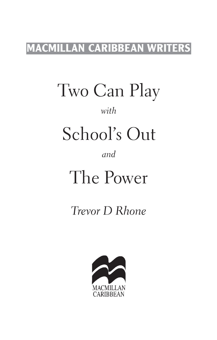### **MACMILLAN CARIBBEAN WRITERS**

Two Can Play

#### *with*

# School's Out

#### *and*

# The Power

## *Trevor D Rhone*

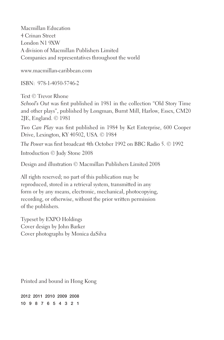Macmillan Education 4 Crinan Street London N1 9XW A division of Macmillan Publishers Limited Companies and representatives throughout the world

www.macmillan-caribbean.com

ISBN: 978-1-4050-5746-2

Text © Trevor Rhone

*School's Out* was first published in 1981 in the collection "Old Story Time and other plays", published by Longman, Burnt Mill, Harlow, Essex, CM20 2JE, England. © 1981

*Two Can Play* was first published in 1984 by Ket Enterprise, 600 Cooper Drive, Lexington, KY 40502, USA. © 1984

*The Power* was first broadcast 4th October 1992 on BBC Radio 5. © 1992

Introduction © Judy Stone 2008

Design and illustration © Macmillan Publishers Limited 2008

All rights reserved; no part of this publication may be reproduced, stored in a retrieval system, transmitted in any form or by any means, electronic, mechanical, photocopying, recording, or otherwise, without the prior written permission of the publishers.

Typeset by EXPO Holdings Cover design by John Barker Cover photographs by Monica daSilva

Printed and bound in Hong Kong

2012 2011 2010 2009 2008 10 9 8 7 6 5 4 3 2 1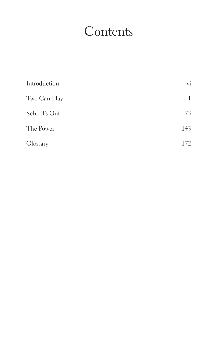## **Contents**

| Introduction | $\overline{\mathrm{vi}}$ |
|--------------|--------------------------|
| Two Can Play | 1                        |
| School's Out | 73                       |
| The Power    | 143                      |
| Glossary     | 172                      |